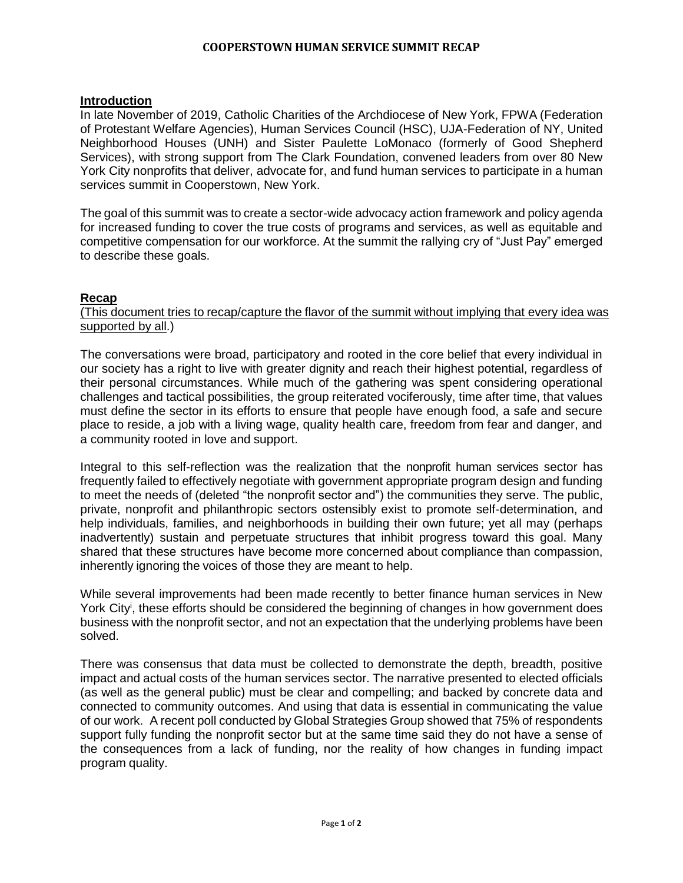#### **COOPERSTOWN HUMAN SERVICE SUMMIT RECAP**

#### **Introduction**

In late November of 2019, Catholic Charities of the Archdiocese of New York, FPWA (Federation of Protestant Welfare Agencies), Human Services Council (HSC), UJA-Federation of NY, United Neighborhood Houses (UNH) and Sister Paulette LoMonaco (formerly of Good Shepherd Services), with strong support from The Clark Foundation, convened leaders from over 80 New York City nonprofits that deliver, advocate for, and fund human services to participate in a human services summit in Cooperstown, New York.

The goal of this summit was to create a sector-wide advocacy action framework and policy agenda for increased funding to cover the true costs of programs and services, as well as equitable and competitive compensation for our workforce. At the summit the rallying cry of "Just Pay" emerged to describe these goals.

### **Recap**

#### (This document tries to recap/capture the flavor of the summit without implying that every idea was supported by all.)

The conversations were broad, participatory and rooted in the core belief that every individual in our society has a right to live with greater dignity and reach their highest potential, regardless of their personal circumstances. While much of the gathering was spent considering operational challenges and tactical possibilities, the group reiterated vociferously, time after time, that values must define the sector in its efforts to ensure that people have enough food, a safe and secure place to reside, a job with a living wage, quality health care, freedom from fear and danger, and a community rooted in love and support.

Integral to this self-reflection was the realization that the nonprofit human services sector has frequently failed to effectively negotiate with government appropriate program design and funding to meet the needs of (deleted "the nonprofit sector and") the communities they serve. The public, private, nonprofit and philanthropic sectors ostensibly exist to promote self-determination, and help individuals, families, and neighborhoods in building their own future; yet all may (perhaps inadvertently) sustain and perpetuate structures that inhibit progress toward this goal. Many shared that these structures have become more concerned about compliance than compassion, inherently ignoring the voices of those they are meant to help.

While several improvements had been made recently to better finance human services in New York City<sup>i</sup>, these efforts should be considered the beginning of changes in how government does business with the nonprofit sector, and not an expectation that the underlying problems have been solved.

There was consensus that data must be collected to demonstrate the depth, breadth, positive impact and actual costs of the human services sector. The narrative presented to elected officials (as well as the general public) must be clear and compelling; and backed by concrete data and connected to community outcomes. And using that data is essential in communicating the value of our work. A recent poll conducted by Global Strategies Group showed that 75% of respondents support fully funding the nonprofit sector but at the same time said they do not have a sense of the consequences from a lack of funding, nor the reality of how changes in funding impact program quality.